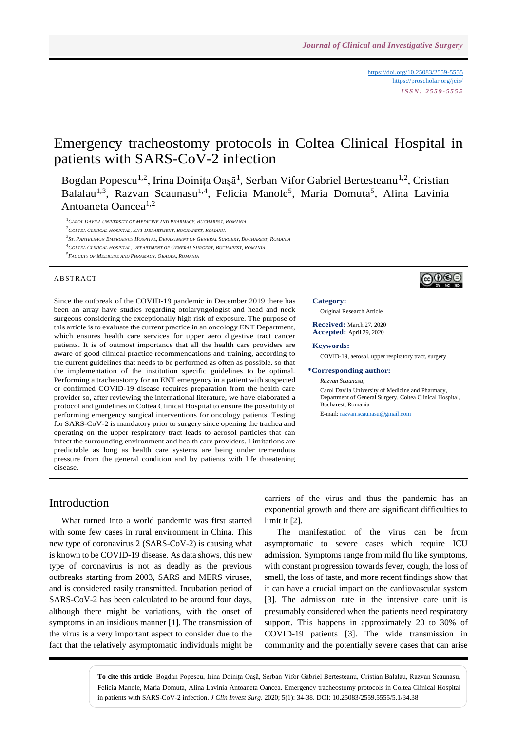<https://doi.org/10.25083/2559-5555> <https://proscholar.org/jcis/> *I S S N : 2 5 5 9 - 5 5 5 5*

ලෙ⊕ල∈

# Emergency tracheostomy protocols in Coltea Clinical Hospital in patients with SARS-CoV-2 infection

Bogdan Popescu<sup>1,2</sup>, Irina Doinița Oașă<sup>1</sup>, Serban Vifor Gabriel Bertesteanu<sup>1,2</sup>, Cristian Balalau<sup>1,3</sup>, Razvan Scaunasu<sup>1,4</sup>, Felicia Manole<sup>5</sup>, Maria Domuta<sup>5</sup>, Alina Lavinia Antoaneta Oancea<sup>1,2</sup>

<sup>1</sup>*CAROL DAVILA UNIVERSITY OF MEDICINE AND PHARMACY, BUCHAREST, ROMANIA*

<sup>2</sup>*COLTEA CLINICAL HOSPITAL, ENT DEPARTMENT, BUCHAREST, ROMANIA* 

- 3<br>St. Pantelimon Emergency Hospital, Department of General Surgery, Bucharest, Romania
- <sup>4</sup>*COLTEA CLINICAL HOSPITAL, DEPARTMENT OF GENERAL SURGERY, BUCHAREST, ROMANIA*
- 5 *FACULTY OF MEDICINE AND PHRAMACY, ORADEA, ROMANIA*

#### **ABSTRACT**

Since the outbreak of the COVID-19 pandemic in December 2019 there has been an array have studies regarding otolaryngologist and head and neck surgeons considering the exceptionally high risk of exposure. The purpose of this article is to evaluate the current practice in an oncology ENT Department, which ensures health care services for upper aero digestive tract cancer patients. It is of outmost importance that all the health care providers are aware of good clinical practice recommendations and training, according to the current guidelines that needs to be performed as often as possible, so that the implementation of the institution specific guidelines to be optimal. Performing a tracheostomy for an ENT emergency in a patient with suspected or confirmed COVID-19 disease requires preparation from the health care provider so, after reviewing the international literature, we have elaborated a protocol and guidelines in Colțea Clinical Hospital to ensure the possibility of performing emergency surgical interventions for oncology patients. Testing for SARS-CoV-2 is mandatory prior to surgery since opening the trachea and operating on the upper respiratory tract leads to aerosol particles that can infect the surrounding environment and health care providers. Limitations are predictable as long as health care systems are being under tremendous pressure from the general condition and by patients with life threatening disease.

#### **Category:**

Original Research Article

**Received:** March 27, 2020 **Accepted:** April 29, 2020

#### **Keywords:**

COVID-19, aerosol, upper respiratory tract, surgery

#### **\*Corresponding author:**

*Razvan Scaunasu*, Carol Davila University of Medicine and Pharmacy, Department of General Surgery, Coltea Clinical Hospital, Bucharest, Romania

E-mail[: razvan.scaunasu@gmail.com](mailto:razvan.scaunasu@gmail.com)

## Introduction

What turned into a world pandemic was first started with some few cases in rural environment in China. This new type of coronavirus 2 (SARS-CoV-2) is causing what is known to be COVID-19 disease. As data shows, this new type of coronavirus is not as deadly as the previous outbreaks starting from 2003, SARS and MERS viruses, and is considered easily transmitted. Incubation period of SARS-CoV-2 has been calculated to be around four days, although there might be variations, with the onset of symptoms in an insidious manner [1]. The transmission of the virus is a very important aspect to consider due to the fact that the relatively asymptomatic individuals might be carriers of the virus and thus the pandemic has an exponential growth and there are significant difficulties to limit it [2].

The manifestation of the virus can be from asymptomatic to severe cases which require ICU admission. Symptoms range from mild flu like symptoms, with constant progression towards fever, cough, the loss of smell, the loss of taste, and more recent findings show that it can have a crucial impact on the cardiovascular system [3]. The admission rate in the intensive care unit is presumably considered when the patients need respiratory support. This happens in approximately 20 to 30% of COVID-19 patients [3]. The wide transmission in community and the potentially severe cases that can arise

**To cite this article**: Bogdan Popescu, Irina Doinița Oașă, Serban Vifor Gabriel Bertesteanu, Cristian Balalau, Razvan Scaunasu, Felicia Manole, Maria Domuta, Alina Lavinia Antoaneta Oancea. Emergency tracheostomy protocols in Coltea Clinical Hospital in patients with SARS-CoV-2 infection. *J Clin Invest Surg*. 2020; 5(1): 34-38. DOI: 10.25083/2559.5555/5.1/34.38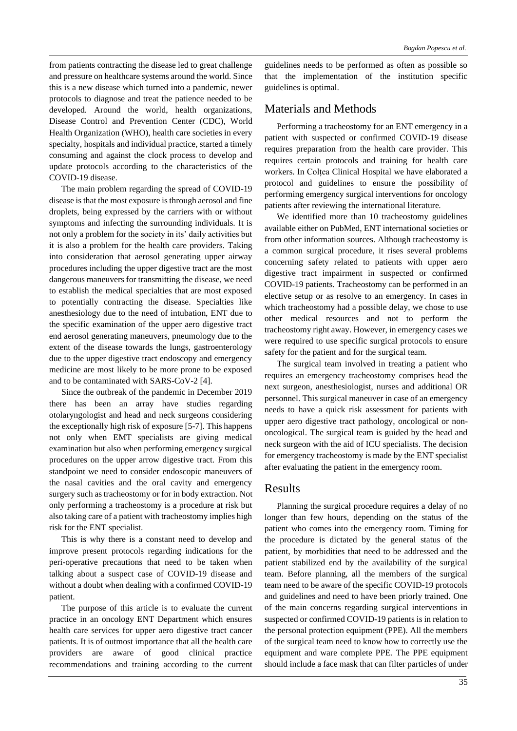from patients contracting the disease led to great challenge and pressure on healthcare systems around the world. Since this is a new disease which turned into a pandemic, newer protocols to diagnose and treat the patience needed to be developed. Around the world, health organizations, Disease Control and Prevention Center (CDC), World Health Organization (WHO), health care societies in every specialty, hospitals and individual practice, started a timely consuming and against the clock process to develop and update protocols according to the characteristics of the COVID-19 disease.

The main problem regarding the spread of COVID-19 disease is that the most exposure is through aerosol and fine droplets, being expressed by the carriers with or without symptoms and infecting the surrounding individuals. It is not only a problem for the society in its' daily activities but it is also a problem for the health care providers. Taking into consideration that aerosol generating upper airway procedures including the upper digestive tract are the most dangerous maneuvers for transmitting the disease, we need to establish the medical specialties that are most exposed to potentially contracting the disease. Specialties like anesthesiology due to the need of intubation, ENT due to the specific examination of the upper aero digestive tract end aerosol generating maneuvers, pneumology due to the extent of the disease towards the lungs, gastroenterology due to the upper digestive tract endoscopy and emergency medicine are most likely to be more prone to be exposed and to be contaminated with SARS-CoV-2 [4].

Since the outbreak of the pandemic in December 2019 there has been an array have studies regarding otolaryngologist and head and neck surgeons considering the exceptionally high risk of exposure [5-7]. This happens not only when EMT specialists are giving medical examination but also when performing emergency surgical procedures on the upper arrow digestive tract. From this standpoint we need to consider endoscopic maneuvers of the nasal cavities and the oral cavity and emergency surgery such as tracheostomy or for in body extraction. Not only performing a tracheostomy is a procedure at risk but also taking care of a patient with tracheostomy implies high risk for the ENT specialist.

This is why there is a constant need to develop and improve present protocols regarding indications for the peri-operative precautions that need to be taken when talking about a suspect case of COVID-19 disease and without a doubt when dealing with a confirmed COVID-19 patient.

The purpose of this article is to evaluate the current practice in an oncology ENT Department which ensures health care services for upper aero digestive tract cancer patients. It is of outmost importance that all the health care providers are aware of good clinical practice recommendations and training according to the current

guidelines needs to be performed as often as possible so that the implementation of the institution specific guidelines is optimal.

## Materials and Methods

Performing a tracheostomy for an ENT emergency in a patient with suspected or confirmed COVID-19 disease requires preparation from the health care provider. This requires certain protocols and training for health care workers. In Colțea Clinical Hospital we have elaborated a protocol and guidelines to ensure the possibility of performing emergency surgical interventions for oncology patients after reviewing the international literature.

We identified more than 10 tracheostomy guidelines available either on PubMed, ENT international societies or from other information sources. Although tracheostomy is a common surgical procedure, it rises several problems concerning safety related to patients with upper aero digestive tract impairment in suspected or confirmed COVID-19 patients. Tracheostomy can be performed in an elective setup or as resolve to an emergency. In cases in which tracheostomy had a possible delay, we chose to use other medical resources and not to perform the tracheostomy right away. However, in emergency cases we were required to use specific surgical protocols to ensure safety for the patient and for the surgical team.

The surgical team involved in treating a patient who requires an emergency tracheostomy comprises head the next surgeon, anesthesiologist, nurses and additional OR personnel. This surgical maneuver in case of an emergency needs to have a quick risk assessment for patients with upper aero digestive tract pathology, oncological or nononcological. The surgical team is guided by the head and neck surgeon with the aid of ICU specialists. The decision for emergency tracheostomy is made by the ENT specialist after evaluating the patient in the emergency room.

## Results

Planning the surgical procedure requires a delay of no longer than few hours, depending on the status of the patient who comes into the emergency room. Timing for the procedure is dictated by the general status of the patient, by morbidities that need to be addressed and the patient stabilized end by the availability of the surgical team. Before planning, all the members of the surgical team need to be aware of the specific COVID-19 protocols and guidelines and need to have been priorly trained. One of the main concerns regarding surgical interventions in suspected or confirmed COVID-19 patients is in relation to the personal protection equipment (PPE). All the members of the surgical team need to know how to correctly use the equipment and ware complete PPE. The PPE equipment should include a face mask that can filter particles of under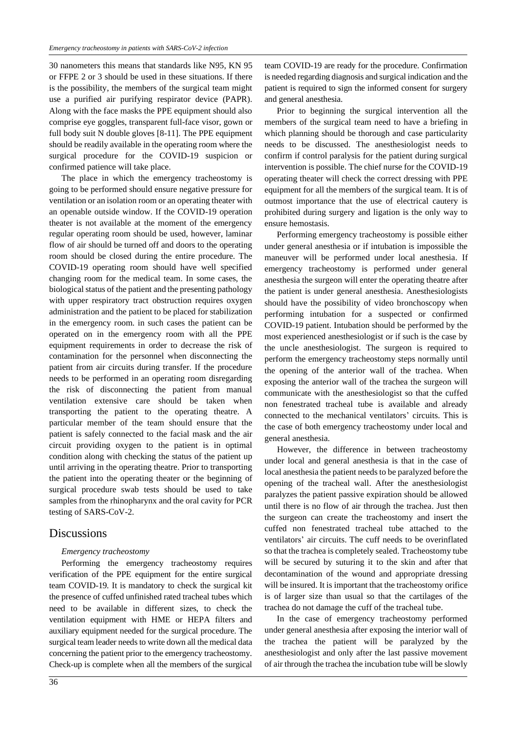30 nanometers this means that standards like N95, KN 95 or FFPE 2 or 3 should be used in these situations. If there is the possibility, the members of the surgical team might use a purified air purifying respirator device (PAPR). Along with the face masks the PPE equipment should also comprise eye goggles, transparent full-face visor, gown or full body suit N double gloves [8-11]. The PPE equipment should be readily available in the operating room where the surgical procedure for the COVID-19 suspicion or confirmed patience will take place.

The place in which the emergency tracheostomy is going to be performed should ensure negative pressure for ventilation or an isolation room or an operating theater with an openable outside window. If the COVID-19 operation theater is not available at the moment of the emergency regular operating room should be used, however, laminar flow of air should be turned off and doors to the operating room should be closed during the entire procedure. The COVID-19 operating room should have well specified changing room for the medical team. In some cases, the biological status of the patient and the presenting pathology with upper respiratory tract obstruction requires oxygen administration and the patient to be placed for stabilization in the emergency room. in such cases the patient can be operated on in the emergency room with all the PPE equipment requirements in order to decrease the risk of contamination for the personnel when disconnecting the patient from air circuits during transfer. If the procedure needs to be performed in an operating room disregarding the risk of disconnecting the patient from manual ventilation extensive care should be taken when transporting the patient to the operating theatre. A particular member of the team should ensure that the patient is safely connected to the facial mask and the air circuit providing oxygen to the patient is in optimal condition along with checking the status of the patient up until arriving in the operating theatre. Prior to transporting the patient into the operating theater or the beginning of surgical procedure swab tests should be used to take samples from the rhinopharynx and the oral cavity for PCR testing of SARS-CoV-2.

## **Discussions**

### *Emergency tracheostomy*

Performing the emergency tracheostomy requires verification of the PPE equipment for the entire surgical team COVID-19. It is mandatory to check the surgical kit the presence of cuffed unfinished rated tracheal tubes which need to be available in different sizes, to check the ventilation equipment with HME or HEPA filters and auxiliary equipment needed for the surgical procedure. The surgical team leader needs to write down all the medical data concerning the patient prior to the emergency tracheostomy. Check-up is complete when all the members of the surgical

team COVID-19 are ready for the procedure. Confirmation is needed regarding diagnosis and surgical indication and the patient is required to sign the informed consent for surgery and general anesthesia.

Prior to beginning the surgical intervention all the members of the surgical team need to have a briefing in which planning should be thorough and case particularity needs to be discussed. The anesthesiologist needs to confirm if control paralysis for the patient during surgical intervention is possible. The chief nurse for the COVID-19 operating theater will check the correct dressing with PPE equipment for all the members of the surgical team. It is of outmost importance that the use of electrical cautery is prohibited during surgery and ligation is the only way to ensure hemostasis.

Performing emergency tracheostomy is possible either under general anesthesia or if intubation is impossible the maneuver will be performed under local anesthesia. If emergency tracheostomy is performed under general anesthesia the surgeon will enter the operating theatre after the patient is under general anesthesia. Anesthesiologists should have the possibility of video bronchoscopy when performing intubation for a suspected or confirmed COVID-19 patient. Intubation should be performed by the most experienced anesthesiologist or if such is the case by the uncle anesthesiologist. The surgeon is required to perform the emergency tracheostomy steps normally until the opening of the anterior wall of the trachea. When exposing the anterior wall of the trachea the surgeon will communicate with the anesthesiologist so that the cuffed non fenestrated tracheal tube is available and already connected to the mechanical ventilators' circuits. This is the case of both emergency tracheostomy under local and general anesthesia.

However, the difference in between tracheostomy under local and general anesthesia is that in the case of local anesthesia the patient needs to be paralyzed before the opening of the tracheal wall. After the anesthesiologist paralyzes the patient passive expiration should be allowed until there is no flow of air through the trachea. Just then the surgeon can create the tracheostomy and insert the cuffed non fenestrated tracheal tube attached to the ventilators' air circuits. The cuff needs to be overinflated so that the trachea is completely sealed. Tracheostomy tube will be secured by suturing it to the skin and after that decontamination of the wound and appropriate dressing will be insured. It is important that the tracheostomy orifice is of larger size than usual so that the cartilages of the trachea do not damage the cuff of the tracheal tube.

In the case of emergency tracheostomy performed under general anesthesia after exposing the interior wall of the trachea the patient will be paralyzed by the anesthesiologist and only after the last passive movement of air through the trachea the incubation tube will be slowly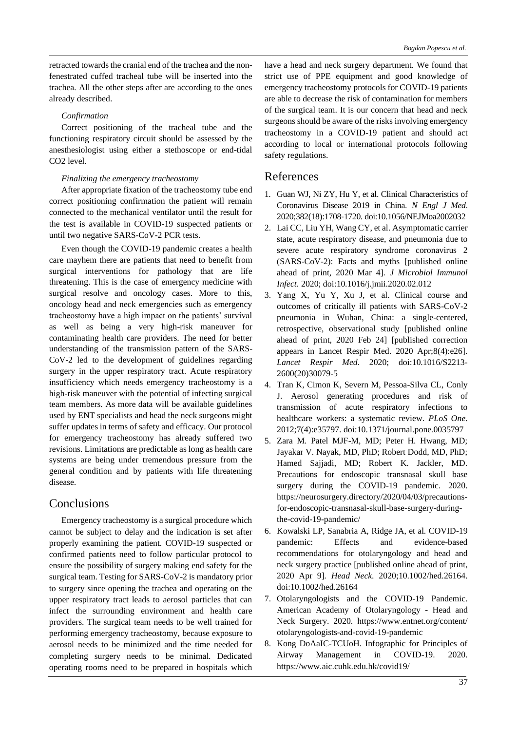retracted towards the cranial end of the trachea and the nonfenestrated cuffed tracheal tube will be inserted into the trachea. All the other steps after are according to the ones already described.

### *Confirmation*

Correct positioning of the tracheal tube and the functioning respiratory circuit should be assessed by the anesthesiologist using either a stethoscope or end-tidal CO2 level.

## *Finalizing the emergency tracheostomy*

After appropriate fixation of the tracheostomy tube end correct positioning confirmation the patient will remain connected to the mechanical ventilator until the result for the test is available in COVID-19 suspected patients or until two negative SARS-CoV-2 PCR tests.

Even though the COVID-19 pandemic creates a health care mayhem there are patients that need to benefit from surgical interventions for pathology that are life threatening. This is the case of emergency medicine with surgical resolve and oncology cases. More to this, oncology head and neck emergencies such as emergency tracheostomy have a high impact on the patients' survival as well as being a very high-risk maneuver for contaminating health care providers. The need for better understanding of the transmission pattern of the SARS-CoV-2 led to the development of guidelines regarding surgery in the upper respiratory tract. Acute respiratory insufficiency which needs emergency tracheostomy is a high-risk maneuver with the potential of infecting surgical team members. As more data will be available guidelines used by ENT specialists and head the neck surgeons might suffer updates in terms of safety and efficacy. Our protocol for emergency tracheostomy has already suffered two revisions. Limitations are predictable as long as health care systems are being under tremendous pressure from the general condition and by patients with life threatening disease.

## Conclusions

Emergency tracheostomy is a surgical procedure which cannot be subject to delay and the indication is set after properly examining the patient. COVID-19 suspected or confirmed patients need to follow particular protocol to ensure the possibility of surgery making end safety for the surgical team. Testing for SARS-CoV-2 is mandatory prior to surgery since opening the trachea and operating on the upper respiratory tract leads to aerosol particles that can infect the surrounding environment and health care providers. The surgical team needs to be well trained for performing emergency tracheostomy, because exposure to aerosol needs to be minimized and the time needed for completing surgery needs to be minimal. Dedicated operating rooms need to be prepared in hospitals which have a head and neck surgery department. We found that strict use of PPE equipment and good knowledge of emergency tracheostomy protocols for COVID-19 patients are able to decrease the risk of contamination for members of the surgical team. It is our concern that head and neck surgeons should be aware of the risks involving emergency tracheostomy in a COVID-19 patient and should act according to local or international protocols following safety regulations.

## References

- 1. Guan WJ, Ni ZY, Hu Y, et al. Clinical Characteristics of Coronavirus Disease 2019 in China. *N Engl J Med*. 2020;382(18):1708‐1720. doi:10.1056/NEJMoa2002032
- 2. Lai CC, Liu YH, Wang CY, et al. Asymptomatic carrier state, acute respiratory disease, and pneumonia due to severe acute respiratory syndrome coronavirus 2 (SARS-CoV-2): Facts and myths [published online ahead of print, 2020 Mar 4]. *J Microbiol Immunol Infect*. 2020; doi:10.1016/j.jmii.2020.02.012
- 3. Yang X, Yu Y, Xu J, et al. Clinical course and outcomes of critically ill patients with SARS-CoV-2 pneumonia in Wuhan, China: a single-centered, retrospective, observational study [published online ahead of print, 2020 Feb 24] [published correction appears in Lancet Respir Med. 2020 Apr;8(4):e26]. *Lancet Respir Med*. 2020; doi:10.1016/S2213- 2600(20)30079-5
- 4. Tran K, Cimon K, Severn M, Pessoa-Silva CL, Conly J. Aerosol generating procedures and risk of transmission of acute respiratory infections to healthcare workers: a systematic review. *PLoS One*. 2012;7(4):e35797. doi:10.1371/journal.pone.0035797
- 5. Zara M. Patel MJF-M, MD; Peter H. Hwang, MD; Jayakar V. Nayak, MD, PhD; Robert Dodd, MD, PhD; Hamed Sajjadi, MD; Robert K. Jackler, MD. Precautions for endoscopic transnasal skull base surgery during the COVID-19 pandemic. 2020. https://neurosurgery.directory/2020/04/03/precautionsfor-endoscopic-transnasal-skull-base-surgery-duringthe-covid-19-pandemic/
- 6. Kowalski LP, Sanabria A, Ridge JA, et al. COVID-19 pandemic: Effects and evidence-based recommendations for otolaryngology and head and neck surgery practice [published online ahead of print, 2020 Apr 9]. *Head Neck*. 2020;10.1002/hed.26164. doi:10.1002/hed.26164
- 7. Otolaryngologists and the COVID-19 Pandemic. American Academy of Otolaryngology - Head and Neck Surgery. 2020. https://www.entnet.org/content/ otolaryngologists-and-covid-19-pandemic
- 8. Kong DoAaIC-TCUoH. Infographic for Principles of Airway Management in COVID-19. 2020. https://www.aic.cuhk.edu.hk/covid19/